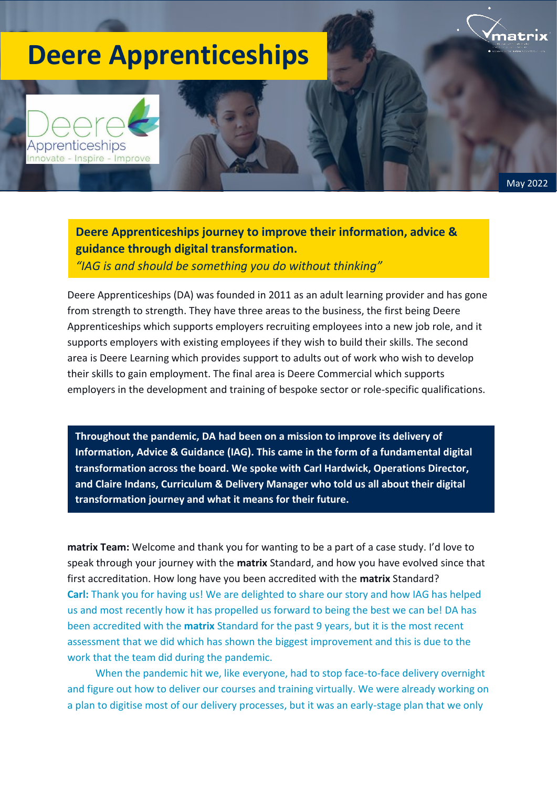## **Deere Apprenticeships**

Apprenticeships nnovate - Inspire - Improve



**Deere Apprenticeships journey to improve their information, advice & guidance through digital transformation.**

*"IAG is and should be something you do without thinking"*

Deere Apprenticeships (DA) was founded in 2011 as an adult learning provider and has gone from strength to strength. They have three areas to the business, the first being Deere Apprenticeships which supports employers recruiting employees into a new job role, and it supports employers with existing employees if they wish to build their skills. The second area is Deere Learning which provides support to adults out of work who wish to develop their skills to gain employment. The final area is Deere Commercial which supports employers in the development and training of bespoke sector or role-specific qualifications.

**Throughout the pandemic, DA had been on a mission to improve its delivery of Information, Advice & Guidance (IAG). This came in the form of a fundamental digital transformation across the board. We spoke with Carl Hardwick, Operations Director, and Claire Indans, Curriculum & Delivery Manager who told us all about their digital transformation journey and what it means for their future.**

**matrix Team:** Welcome and thank you for wanting to be a part of a case study. I'd love to speak through your journey with the **matrix** Standard, and how you have evolved since that first accreditation. How long have you been accredited with the **matrix** Standard? **Carl:** Thank you for having us! We are delighted to share our story and how IAG has helped us and most recently how it has propelled us forward to being the best we can be! DA has been accredited with the **matrix** Standard for the past 9 years, but it is the most recent assessment that we did which has shown the biggest improvement and this is due to the work that the team did during the pandemic.

When the pandemic hit we, like everyone, had to stop face-to-face delivery overnight and figure out how to deliver our courses and training virtually. We were already working on a plan to digitise most of our delivery processes, but it was an early-stage plan that we only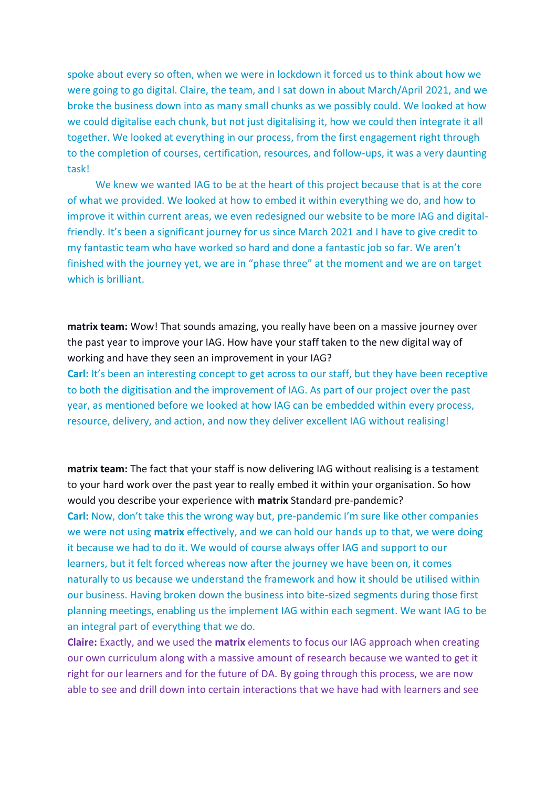spoke about every so often, when we were in lockdown it forced us to think about how we were going to go digital. Claire, the team, and I sat down in about March/April 2021, and we broke the business down into as many small chunks as we possibly could. We looked at how we could digitalise each chunk, but not just digitalising it, how we could then integrate it all together. We looked at everything in our process, from the first engagement right through to the completion of courses, certification, resources, and follow-ups, it was a very daunting task!

We knew we wanted IAG to be at the heart of this project because that is at the core of what we provided. We looked at how to embed it within everything we do, and how to improve it within current areas, we even redesigned our website to be more IAG and digitalfriendly. It's been a significant journey for us since March 2021 and I have to give credit to my fantastic team who have worked so hard and done a fantastic job so far. We aren't finished with the journey yet, we are in "phase three" at the moment and we are on target which is brilliant.

**matrix team:** Wow! That sounds amazing, you really have been on a massive journey over the past year to improve your IAG. How have your staff taken to the new digital way of working and have they seen an improvement in your IAG?

**Carl:** It's been an interesting concept to get across to our staff, but they have been receptive to both the digitisation and the improvement of IAG. As part of our project over the past year, as mentioned before we looked at how IAG can be embedded within every process, resource, delivery, and action, and now they deliver excellent IAG without realising!

**matrix team:** The fact that your staff is now delivering IAG without realising is a testament to your hard work over the past year to really embed it within your organisation. So how would you describe your experience with **matrix** Standard pre-pandemic? **Carl:** Now, don't take this the wrong way but, pre-pandemic I'm sure like other companies we were not using **matrix** effectively, and we can hold our hands up to that, we were doing it because we had to do it. We would of course always offer IAG and support to our learners, but it felt forced whereas now after the journey we have been on, it comes naturally to us because we understand the framework and how it should be utilised within our business. Having broken down the business into bite-sized segments during those first planning meetings, enabling us the implement IAG within each segment. We want IAG to be an integral part of everything that we do.

**Claire:** Exactly, and we used the **matrix** elements to focus our IAG approach when creating our own curriculum along with a massive amount of research because we wanted to get it right for our learners and for the future of DA. By going through this process, we are now able to see and drill down into certain interactions that we have had with learners and see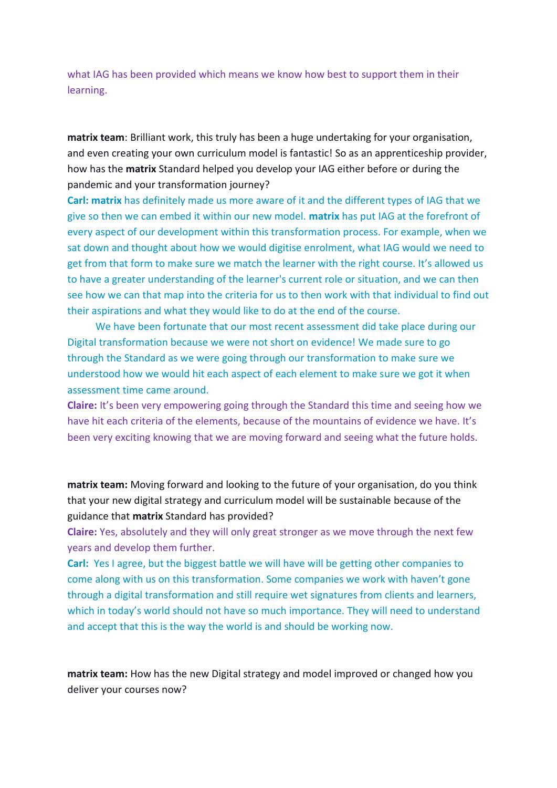what IAG has been provided which means we know how best to support them in their learning.

**matrix team**: Brilliant work, this truly has been a huge undertaking for your organisation, and even creating your own curriculum model is fantastic! So as an apprenticeship provider, how has the **matrix** Standard helped you develop your IAG either before or during the pandemic and your transformation journey?

**Carl: matrix** has definitely made us more aware of it and the different types of IAG that we give so then we can embed it within our new model. **matrix** has put IAG at the forefront of every aspect of our development within this transformation process. For example, when we sat down and thought about how we would digitise enrolment, what IAG would we need to get from that form to make sure we match the learner with the right course. It's allowed us to have a greater understanding of the learner's current role or situation, and we can then see how we can that map into the criteria for us to then work with that individual to find out their aspirations and what they would like to do at the end of the course.

We have been fortunate that our most recent assessment did take place during our Digital transformation because we were not short on evidence! We made sure to go through the Standard as we were going through our transformation to make sure we understood how we would hit each aspect of each element to make sure we got it when assessment time came around.

**Claire:** It's been very empowering going through the Standard this time and seeing how we have hit each criteria of the elements, because of the mountains of evidence we have. It's been very exciting knowing that we are moving forward and seeing what the future holds.

**matrix team:** Moving forward and looking to the future of your organisation, do you think that your new digital strategy and curriculum model will be sustainable because of the guidance that **matrix** Standard has provided?

**Claire:** Yes, absolutely and they will only great stronger as we move through the next few years and develop them further.

**Carl:** Yes I agree, but the biggest battle we will have will be getting other companies to come along with us on this transformation. Some companies we work with haven't gone through a digital transformation and still require wet signatures from clients and learners, which in today's world should not have so much importance. They will need to understand and accept that this is the way the world is and should be working now.

**matrix team:** How has the new Digital strategy and model improved or changed how you deliver your courses now?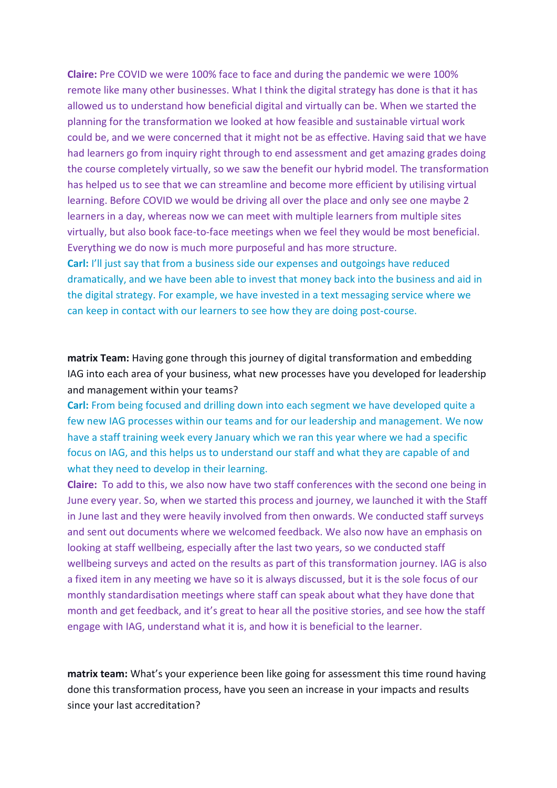**Claire:** Pre COVID we were 100% face to face and during the pandemic we were 100% remote like many other businesses. What I think the digital strategy has done is that it has allowed us to understand how beneficial digital and virtually can be. When we started the planning for the transformation we looked at how feasible and sustainable virtual work could be, and we were concerned that it might not be as effective. Having said that we have had learners go from inquiry right through to end assessment and get amazing grades doing the course completely virtually, so we saw the benefit our hybrid model. The transformation has helped us to see that we can streamline and become more efficient by utilising virtual learning. Before COVID we would be driving all over the place and only see one maybe 2 learners in a day, whereas now we can meet with multiple learners from multiple sites virtually, but also book face-to-face meetings when we feel they would be most beneficial. Everything we do now is much more purposeful and has more structure. **Carl:** I'll just say that from a business side our expenses and outgoings have reduced dramatically, and we have been able to invest that money back into the business and aid in the digital strategy. For example, we have invested in a text messaging service where we

can keep in contact with our learners to see how they are doing post-course.

**matrix Team:** Having gone through this journey of digital transformation and embedding IAG into each area of your business, what new processes have you developed for leadership and management within your teams?

**Carl:** From being focused and drilling down into each segment we have developed quite a few new IAG processes within our teams and for our leadership and management. We now have a staff training week every January which we ran this year where we had a specific focus on IAG, and this helps us to understand our staff and what they are capable of and what they need to develop in their learning.

**Claire:** To add to this, we also now have two staff conferences with the second one being in June every year. So, when we started this process and journey, we launched it with the Staff in June last and they were heavily involved from then onwards. We conducted staff surveys and sent out documents where we welcomed feedback. We also now have an emphasis on looking at staff wellbeing, especially after the last two years, so we conducted staff wellbeing surveys and acted on the results as part of this transformation journey. IAG is also a fixed item in any meeting we have so it is always discussed, but it is the sole focus of our monthly standardisation meetings where staff can speak about what they have done that month and get feedback, and it's great to hear all the positive stories, and see how the staff engage with IAG, understand what it is, and how it is beneficial to the learner.

**matrix team:** What's your experience been like going for assessment this time round having done this transformation process, have you seen an increase in your impacts and results since your last accreditation?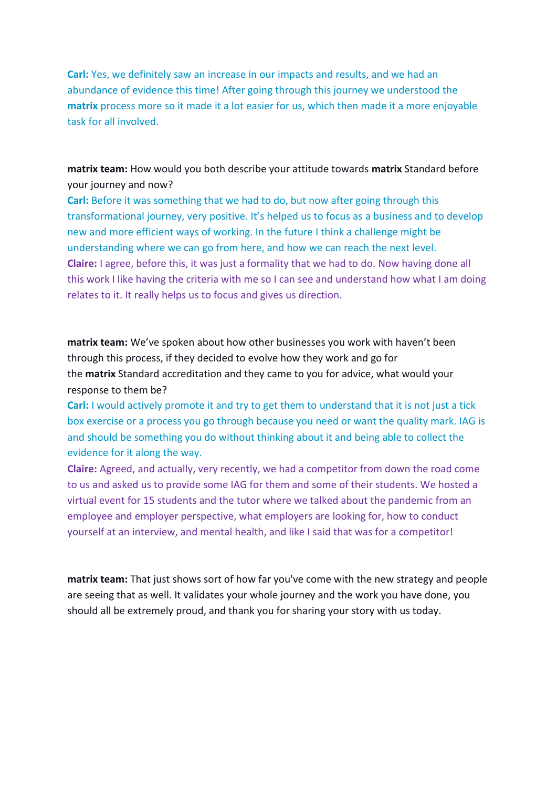**Carl:** Yes, we definitely saw an increase in our impacts and results, and we had an abundance of evidence this time! After going through this journey we understood the **matrix** process more so it made it a lot easier for us, which then made it a more enjoyable task for all involved.

**matrix team:** How would you both describe your attitude towards **matrix** Standard before your journey and now?

**Carl:** Before it was something that we had to do, but now after going through this transformational journey, very positive. It's helped us to focus as a business and to develop new and more efficient ways of working. In the future I think a challenge might be understanding where we can go from here, and how we can reach the next level. **Claire:** I agree, before this, it was just a formality that we had to do. Now having done all this work I like having the criteria with me so I can see and understand how what I am doing relates to it. It really helps us to focus and gives us direction.

**matrix team:** We've spoken about how other businesses you work with haven't been through this process, if they decided to evolve how they work and go for the **matrix** Standard accreditation and they came to you for advice, what would your response to them be?

**Carl:** I would actively promote it and try to get them to understand that it is not just a tick box exercise or a process you go through because you need or want the quality mark. IAG is and should be something you do without thinking about it and being able to collect the evidence for it along the way.

**Claire:** Agreed, and actually, very recently, we had a competitor from down the road come to us and asked us to provide some IAG for them and some of their students. We hosted a virtual event for 15 students and the tutor where we talked about the pandemic from an employee and employer perspective, what employers are looking for, how to conduct yourself at an interview, and mental health, and like I said that was for a competitor!

**matrix team:** That just shows sort of how far you've come with the new strategy and people are seeing that as well. It validates your whole journey and the work you have done, you should all be extremely proud, and thank you for sharing your story with us today.